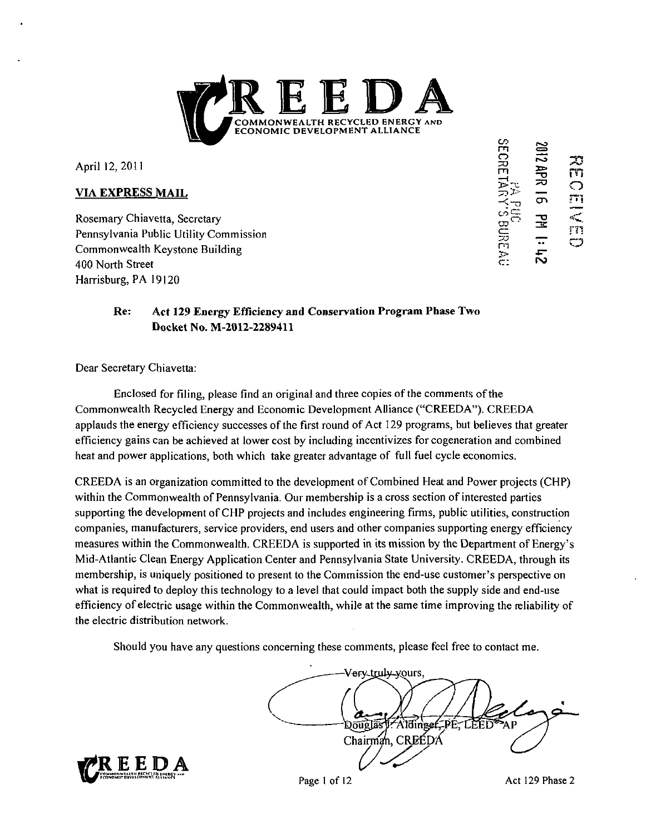

April 12, 2011

### **VIA EXPRESS MAIL**

Rosemary Chiavetta, Secretary Pennsylvania Public Utility Commission Commonwealth Keystone Building 400 North Street Harrisburg, PA 19120

**m CR FINED**<br>**16 PM I: 42<br><b>16 PM I: 42**<br>**16 PM I: 42**<br>**16 PM I: 42 r o m I »•**   $\frac{1}{2}$ <br>  $\frac{1}{2}$ <br>  $\frac{1}{2}$ <br>  $\frac{1}{2}$ <br>  $\frac{1}{2}$ <br>  $\frac{1}{2}$ <br>  $\frac{1}{2}$ <br>  $\frac{1}{2}$ <br>  $\frac{1}{2}$ <br>  $\frac{1}{2}$ **cn il <sup>1</sup> ! CO o d -o < m o > c: ro** 

# **Re: Act 129 Energy Efficiency and Conservation Program Phase Two Docket No. M-2012-2289411**

Dear Secretary Chiavetta:

applauds the energy efficiency successes of the first round of Act 129 programs, but believes that greater Enclosed for filing, please find an original and three copies of the comments of the Commonwealth Recycled Energy and Economic Development Alliance ("CREEDA"). CREEDA efficiency gains can be achieved at lower cost by including incentivizes for cogeneration and combined heat and power applications, both which take greater advantage of full fuel cycle economics.

CREEDA is an organization committed to the development of Combined Heat and Power projects (CHP) within the Commonwealth of Pennsylvania. Our membership is a cross section of interested parties supporting the development of CHP projects and includes engineering firms, public utilities, construction companies, manufacturers, service providers, end users and other companies supporting energy efficiency measures within the Commonwealth. CREEDA is supported in its mission by the Department of Energy's Mid-Atlantic Clean Energy Application Center and Pennsylvania State University. CREEDA, through its membership, is uniquely positioned to present to the Commission the end-use customer's perspective on what is required to deploy this technology to a level that could impact both the supply side and end-use efficiency of electric usage within the Commonwealth, while at the same time improving the reliability of the electric distribution network.

Should you have any questions concerning these comments, please feel free to contact me.

Very truly yours, Douglas FAIdinger PE-LEED Chairman, CREEDA

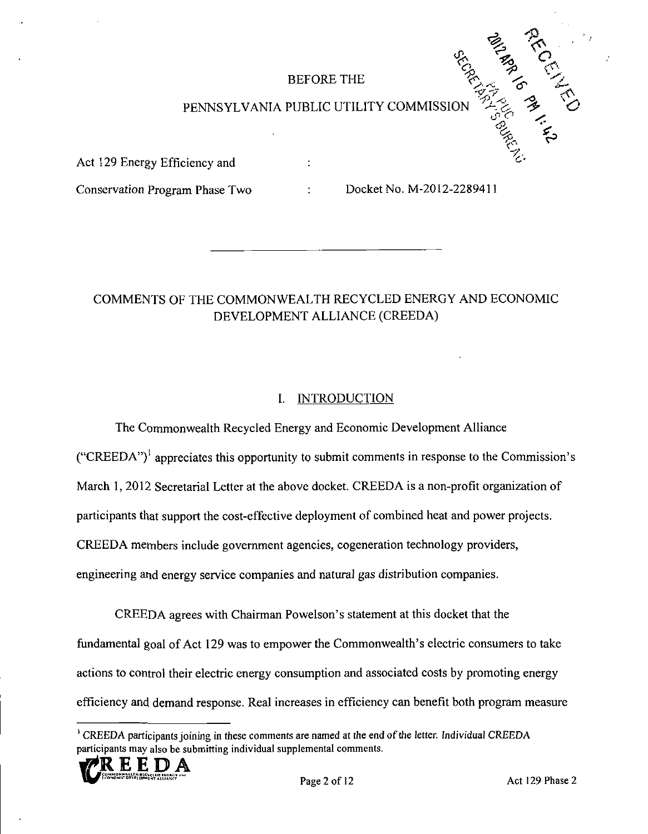## **BEFORE THE**



Act 129 Energy Efficiency and :

Conservation Program Phase Two : Docket No. M-2012-2289411

# COMMENTS OF THE COMMONWEALTH RECYCLED ENERGY AND ECONOMIC DEVELOPMENT ALLIANCE (CREEDA)

# I. INTRODUCTION

The Commonwealth Recycled Energy and Economic Development Alliance ("CREEDA")<sup>1</sup> appreciates this opportunity to submit comments in response to the Commission's March 1, 2012 Secretarial Letter at the above docket. CREEDA is a non-profit organization of participants that support the cost-effective deployment of combined heat and power projects. CREEDA members include govemment agencies, cogeneration technology providers, engineering and energy service companies and natural gas distribution companies.

CREEDA agrees with Chairman Powelson's statement at this docket that the fundamental goal of Act 129 was to empower the Commonwealth's electric consumers to take actions to control their electric energy consumption and associated costs by promoting energy efficiency and demand response. Real increases in efficiency can benefit both program measure

<sup>&</sup>lt;sup>1</sup> CREEDA participants joining in these comments are named at the end of the letter. Individual CREEDA participants may also be submitting individual supplemental comments.

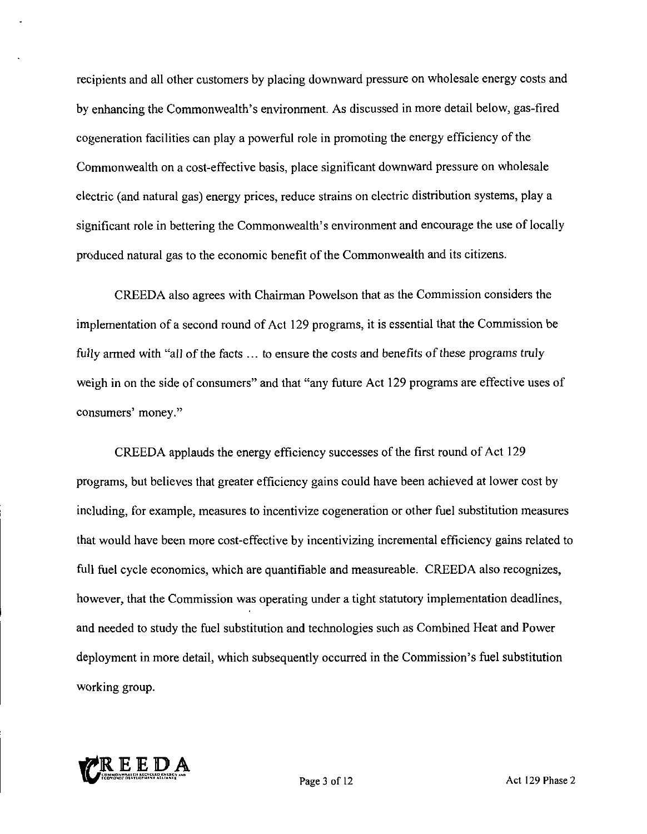recipients and all other customers by placing downward pressure on wholesale energy costs and by enhancing the Commonwealth's environment. As discussed in more detail below, gas-fired cogeneration facilities can play a powerful role in promoting the energy efficiency of the Commonwealth on a cost-effective basis, place significant downward pressure on wholesale electric (and natural gas) energy prices, reduce strains on electric distribution systems, play a significant role in bettering the Commonwealth's environment and encourage the use of locally produced natural gas to the economic benefit of the Commonwealth and its citizens.

CREEDA also agrees with Chairman Powelson that as the Commission considers the implementation of a second round of Act 129 programs, it is essential that the Commission be fully armed with "all of the facts ... to ensure the costs and benefits of these programs truly weigh in on the side of consumers" and that "any future Act 129 programs are effective uses of consumers' money."

CREEDA applauds the energy efficiency successes of the first round of Act 129 programs, but believes that greater efficiency gains could have been achieved at lower cost by including, for example, measures to incentivize cogeneration or other fuel substitution measures that would have been more cost-effective by incentivizing incremental efficiency gains related to full fuel cycle economics, which are quantifiable and measureable. CREEDA also recognizes, however, that the Commission was operating under a tight statutory implementation deadlines, and needed to study the fuel substitution and technologies such as Combined Heat and Power deployment in more detail, which subsequently occurred in the Commission's fuel substitution working group.

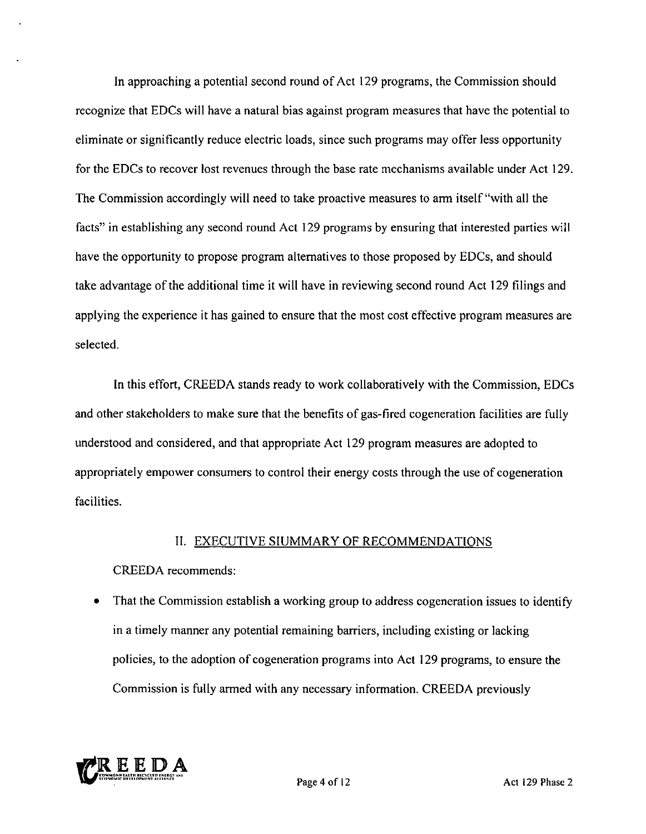In approaching a potential second round of Act 129 programs, the Commission should recognize that EDCs will have a natural bias against program measures that have the potential to eliminate or significantly reduce electric loads, since such programs may offer less opportunity for the EDCs to recover lost revenues through the base rate mechanisms available under Act 129. The Commission accordingly will need to take proactive measures to arm itself "with all the facts" in establishing any second round Act 129 programs by ensuring that interested parties will have the opportunity to propose program alternatives to those proposed by EDCs, and should take advantage of the additional time it will have in reviewing second round Act 129 filings and applying the experience it has gained to ensure that the most cost effective program measures are selected.

In this effort, CREEDA stands ready to work collaboratively with the Commission, EDCs and other stakeholders to make sure that the benefits of gas-fired cogeneration facilities are fully understood and considered, and that appropriate Act 129 program measures are adopted to appropriately empower consumers to control their energy costs through the use of cogeneration facilities.

## II. EXECUTIVE SIUMMARY OF RECOMMENDATIONS

CREEDA recommends:

• That the Commission establish a working group to address cogeneration issues to identify in a timely manner any potential remaining barriers, including existing or lacking policies, to the adoption of cogeneration programs into Act 129 programs, to ensure the Commission is fully armed with any necessary information. CREEDA previously

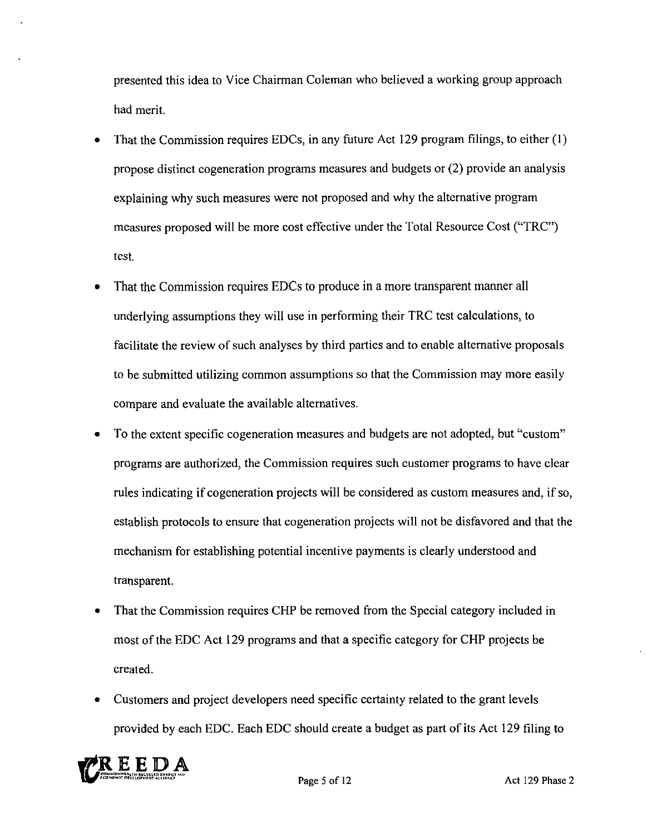presented this idea to Vice Chairman Coleman who believed a working group approach had merit.

- That the Commission requires EDCs, in any future Act 129 program filings, to either (1) propose distinct cogeneration programs measures and budgets or (2) provide an analysis explaining why such measures were not proposed and why the alternative program measures proposed will be more cost effective under the Total Resource Cost ("TRC") test.
- That the Commission requires EDCs to produce in a more transparent manner all underlying assumptions they will use in performing their TRC test calculations, to facilitate the review of such analyses by third parties and to enable alternative proposals to be submitted utilizing common assumptions so that the Commission may more easily compare and evaluate the available alternatives.
- To the extent specific cogeneration measures and budgets are not adopted, but "custom" programs are authorized, the Commission requires such customer programs to have clear rules indicating if cogeneration projects will be considered as custom measures and, if so, establish protocols to ensure that cogeneration projects will not be disfavored and that the mechanism for establishing potential incentive payments is clearly understood and transparent.
- That the Commission requires CHP be removed from the Special category included in most of the EDC Act 129 programs and that a specific category for CHP projects be created.
- Customers and project developers need specific certainty related to the grant levels provided by each EDC. Each EDC should create a budget as part of its Act 129 filing to

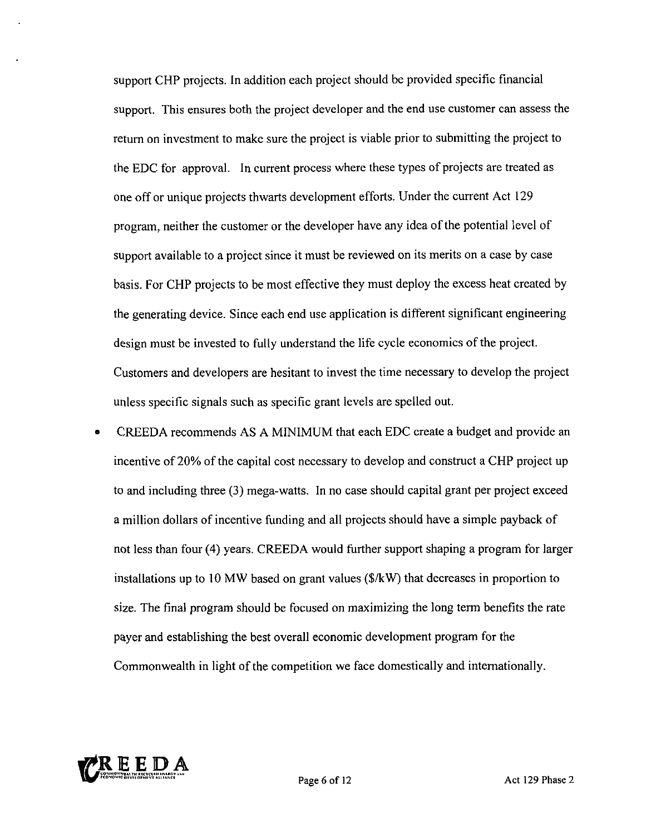support CHP projects. In addition each project should be provided specific financial support. This ensures both the project developer and the end use customer can assess the return on investment to make sure the project is viable prior to submitting the project to the EDC for approval. In current process where these types of projects are treated as one off or unique projects thwarts development efforts. Under the current Act 129 program, neither the customer or the developer have any idea of the potential level of support available to a project since it must be reviewed on its merits on a case by case basis. For CHP projects to be most effective they must deploy the excess heat created by the generating device. Since each end use application is different significant engineering design must be invested to fully understand the life cycle economics of the project. Customers and developers are hesitant to invest the time necessary to develop the project unless specific signals such as specific grant levels are spelled out.

CREEDA recommends AS A MINIMUM that each EDC create a budget and provide an incentive of 20% of the capital cost necessary to develop and construct a CHP project up to and including three (3) mega-watts. In no case should capital grant per project exceed a million dollars of incentive funding and all projects should have a simple payback of not less than four (4) years. CREEDA would further support shaping a program for larger installations up to 10 MW based on grant values (\$/kW) that decreases in proportion to size. The final program should be focused on maximizing the long term benefits the rate payer and establishing the best overall economic development program for the Commonwealth in light of the competition we face domestically and internationally.

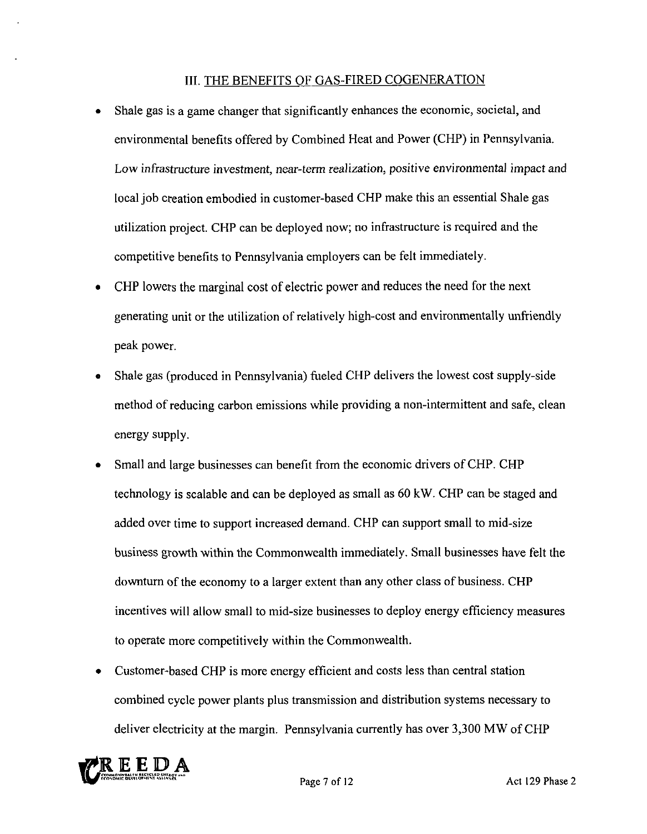#### III. THE BENEFITS OF GAS-FIRED COGENERATION

- Shale gas is a game changer that significantly enhances the economic, societal, and environmental benefits offered by Combined Heat and Power (CHP) in Pennsylvania. Low infrastructure investment, near-term realization, positive environmental impact and local job creation embodied in customer-based CHP make this an essential Shale gas utilization project. CHP can be deployed now; no infrastructure is required and the competitive benefits to Pennsylvania employers can be felt immediately.
- CHP lowers the marginal cost of electric power and reduces the need for the next generating unit or the utilization of relatively high-cost and environmentally unfriendly peak power.
- Shale gas (produced in Pennsylvania) fueled CHP delivers the lowest cost supply-side method of reducing carbon emissions while providing a non-intermittent and safe, clean energy supply.
- Small and large businesses can benefit from the economic drivers of CHP. CHP technology is scalable and can be deployed as small as 60 kW. CHP can be staged and added over time to support increased demand. CHP can support small to mid-size business growth within the Commonwealth immediately. Small businesses have felt the downturn of the economy to a larger extent than any other class of business. CHP incentives will allow small to mid-size businesses to deploy energy efficiency measures to operate more competitively within the Commonwealth.
- Customer-based CHP is more energy efficient and costs less than central station combined cycle power plants plus transmission and distribution systems necessary to deliver electricity at the margin. Pennsylvania currently has over 3,300 MW of CHP

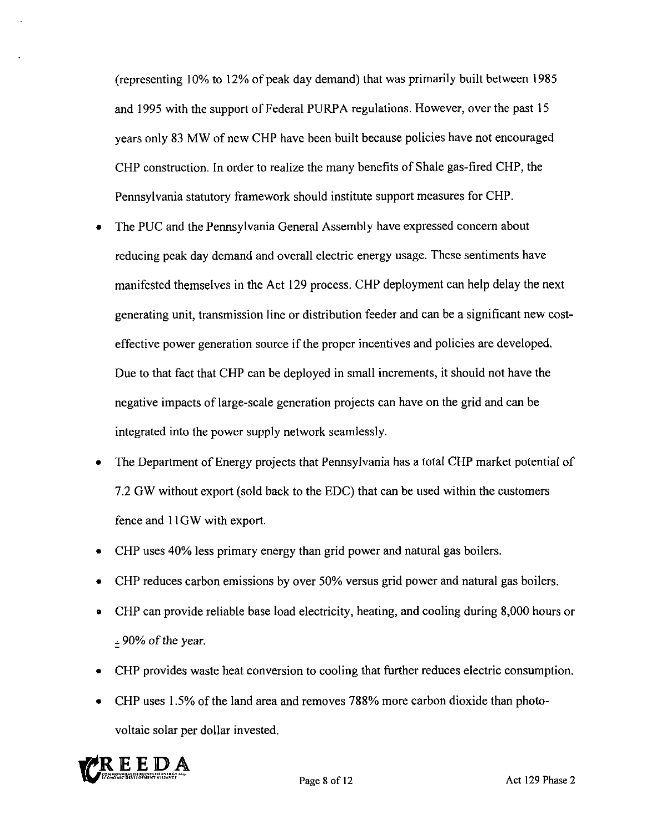(representing 10% to 12% of peak day demand) that was primarily built between 1985 and 1995 with the support of Federal PURPA regulations. However, over the past 15 years only 83 MW of new CHP have been built because policies have not encouraged CHP construction. In order to realize the many benefits of Shale gas-fired CHP, the Pennsylvania statutory framework should institute support measures for CHP.

- The PUC and the Pennsylvania General Assembly have expressed concern about reducing peak day demand and overall electric energy usage. These sentiments have manifested themselves in the Act 129 process. CHP deployment can help delay the next generating unit, transmission line or distribution feeder and can be a significant new costeffective power generation source if the proper incentives and policies are developed. Due to that fact that CHP can be deployed in small increments, it should not have the negative impacts of large-scale generation projects can have on the grid and can be integrated into the power supply network seamlessly.
- The Department of Energy projects that Pennsylvania has a total CHP market potential of 7.2 GW without export (sold back to the EDC) that can be used within the customers fence and 11GW with export.
- CHP uses 40% less primary energy than grid power and natural gas boilers.
- CHP reduces carbon emissions by over 50% versus grid power and natural gas boilers.
- CHP can provide reliable base load electricity, heating, and cooling during 8,000 hours or  $+90\%$  of the year.
- CHP provides waste heat conversion to cooling that further reduces electric consumption.
- CHP uses 1.5% of the land area and removes 788% more carbon dioxide than photovoltaic solar per dollar invested.

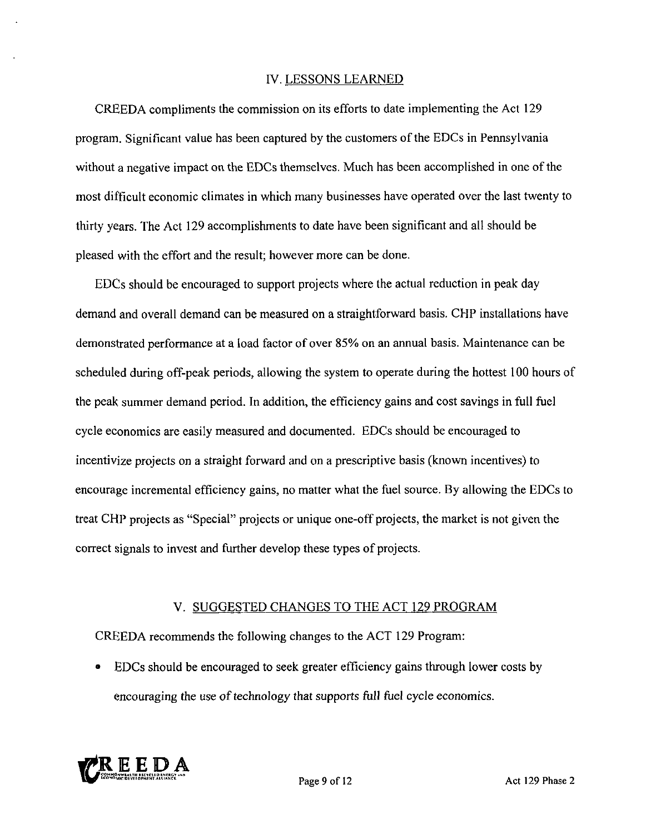#### IV. LESSONS LEARNED

CREEDA compliments the commission on its efforts to date implementing the Act 129 program. Significant value has been captured by the customers of the EDCs in Pennsylvania without a negative impact on the EDCs themselves. Much has been accomplished in one of the most difficult economic climates in which many businesses have operated over the last twenty to thirty years. The Act 129 accomplishments to date have been significant and all should be pleased with the effort and the result; however more can be done.

EDCs should be encouraged to support projects where the actual reduction in peak day demand and overall demand can be measured on a straightforward basis. CHP installations have demonstrated performance at a load factor of over 85% on an annual basis. Maintenance can be scheduled during off-peak periods, allowing the system to operate during the hottest 100 hours of the peak summer demand period. In addition, the efficiency gains and cost savings in full fuel cycle economics are easily measured and documented. EDCs should be encouraged to incentivize projects on a straight forward and on a prescriptive basis (known incentives) to encourage incremental efficiency gains, no matter what the fuel source. By allowing the EDCs to treat CHP projects as "Special" projects or unique one-off projects, the market is not given the correct signals to invest and further develop these types of projects.

#### V. SUGGESTED CHANGES TO THE ACT 129 PROGRAM

CREEDA recommends the following changes to the ACT 129 Program:

• EDCs should be encouraged to seek greater efficiency gains through lower costs by encouraging the use of technology that supports full fuel cycle economics.

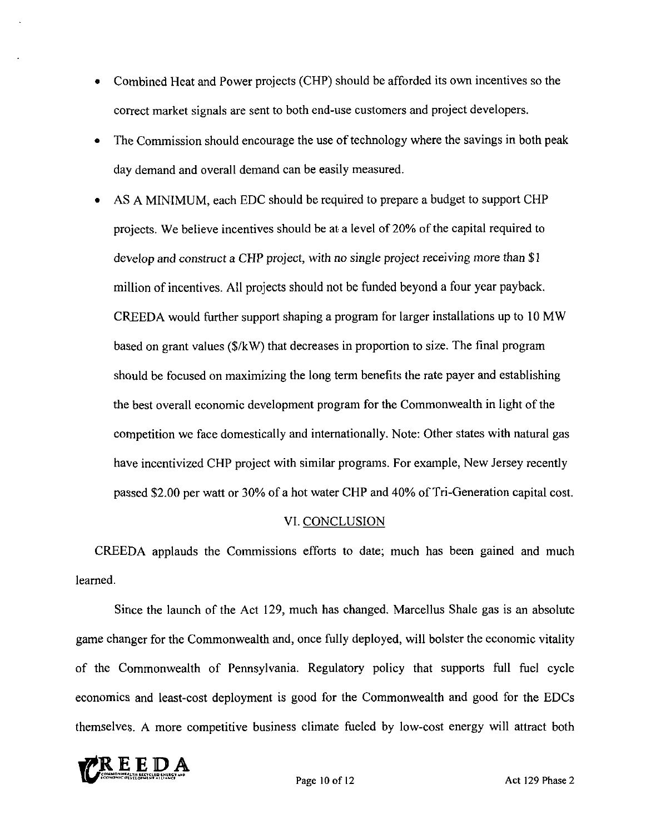- Combined Heat and Power projects (CHP) should be afforded its own incentives so the correct market signals are sent to both end-use customers and project developers.
- The Commission should encourage the use of technology where the savings in both peak day demand and overall demand can be easily measured.
- AS A MINIMUM, each EDC should be required to prepare a budget to support CHP projects. We believe incentives should be at a level of 20% of the capital required to develop and construct a CHP project, with no single project receiving more than \$1 million of incentives. All projects should not be funded beyond a four year payback. CREEDA would further support shaping a program for larger installations up to 10 MW based on grant values (\$/kW) that decreases in proportion to size. The final program should be focused on maximizing the long term benefits the rate payer and establishing the best overall economic development program for the Commonwealth in light of the competition we face domestically and internationally. Note: Other states with natural gas have incentivized CHP project with similar programs. For example, New Jersey recently passed \$2.00 per watt or 30% of a hot water CHP and 40% of Tri-Generation capital cost.

#### VI. CONCLUSION

CREEDA applauds the Commissions efforts to date; much has been gained and much learned.

Since the launch of the Act 129, much has changed. Marcellus Shale gas is an absolute game changer for the Commonwealth and, once fully deployed, will bolster the economic vitality of the Commonwealth of Pennsylvania. Regulatory policy that supports full fuel cycle economics and least-cost deployment is good for the Commonwealth and good for the EDCs themselves. A more competitive business climate fueled by low-cost energy will attract both

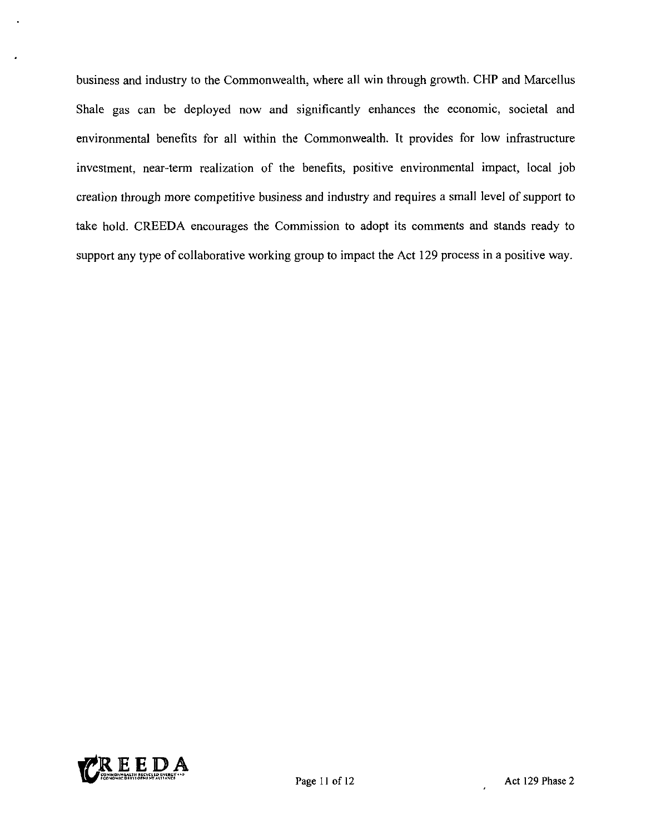business and industry to the Commonwealth, where all win through growth. CHP and Marcellus Shale gas can be deployed now and significantly enhances the economic, societal and environmental benefits for all within the Commonwealth. It provides for low infrastructure investment, near-term realization of the benefits, positive environmental impact, local job creation through more competitive business and industry and requires a small level of support to take hold. CREEDA encourages the Commission to adopt its comments and stands ready to support any type of collaborative working group to impact the Act 129 process in a positive way.